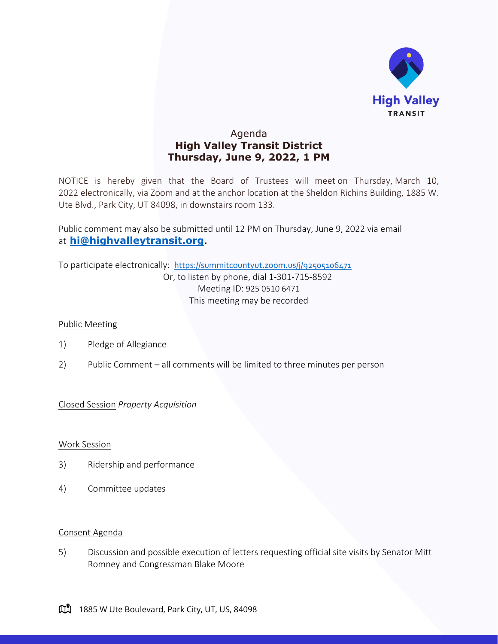

## Agenda **High Valley Transit District Thursday, June 9, 2022, 1 PM**

NOTICE is hereby given that the Board of Trustees will meet on Thursday, March 10, 2022 electronically, via Zoom and at the anchor location at the Sheldon Richins Building, 1885 W. Ute Blvd., Park City, UT 84098, in downstairs room 133.

Public comment may also be submitted until 12 PM on Thursday, June 9, 2022 via email at **[hi@highvalleytransit.org](mailto:hi@highvalleytransit.org)**.

To participate electronically: <https://summitcountyut.zoom.us/j/92505106471> Or, to listen by phone, dial 1-301-715-8592 Meeting ID: 925 0510 6471 This meeting may be recorded

## Public Meeting

- 1) Pledge of Allegiance
- 2) Public Comment all comments will be limited to three minutes per person

Closed Session *Property Acquisition*

Work Session

- 3) Ridership and performance
- 4) Committee updates

## Consent Agenda

5) Discussion and possible execution of letters requesting official site visits by Senator Mitt Romney and Congressman Blake Moore

1885 W Ute Boulevard, Park City, UT, US, 84098